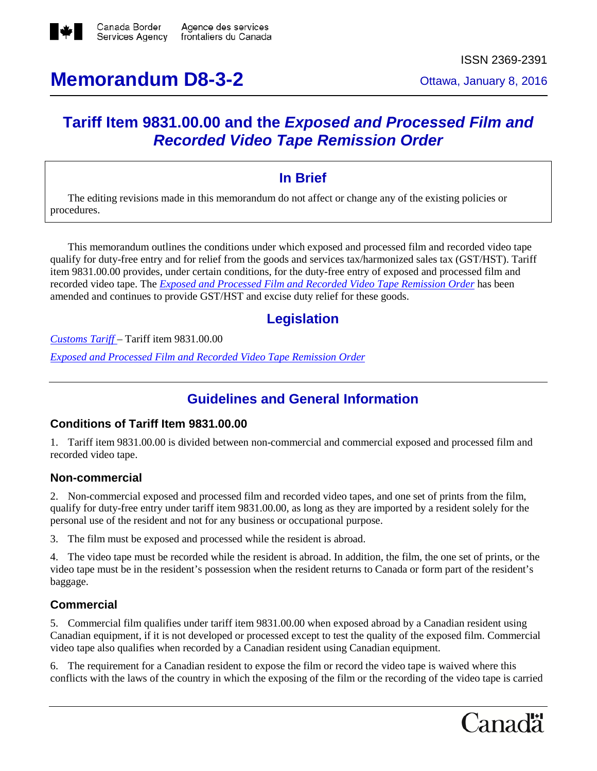

# **Memorandum D8-3-2** Ottawa, January 8, 2016

# **Tariff Item 9831.00.00 and the** *Exposed and Processed Film and Recorded Video Tape Remission Order*

# **In Brief**

The editing revisions made in this memorandum do not affect or change any of the existing policies or procedures.

This memorandum outlines the conditions under which exposed and processed film and recorded video tape qualify for duty-free entry and for relief from the goods and services tax/harmonized sales tax (GST/HST). Tariff item 9831.00.00 provides, under certain conditions, for the duty-free entry of exposed and processed film and recorded video tape. The *Exposed and Processed Film and Recorded Video Tape [Remission](http://laws-lois.justice.gc.ca/eng/regulations/C.R.C.%2C_c._763/page-1.html) Order* has been amended and continues to provide GST/HST and excise duty relief for these goods.

# **Legislation**

*[Customs](http://www.cbsa-asfc.gc.ca/trade-commerce/tariff-tarif/) Tariff* – Tariff item 9831.00.00

*Exposed and [Processed](http://laws-lois.justice.gc.ca/eng/regulations/C.R.C.%2C_c._763/page-1.html) Film and Recorded Video Tape Remission Order*

# **Guidelines and General Information**

## **Conditions of Tariff Item 9831.00.00**

1. Tariff item 9831.00.00 is divided between non-commercial and commercial exposed and processed film and recorded video tape.

## **Non-commercial**

2. Non-commercial exposed and processed film and recorded video tapes, and one set of prints from the film, qualify for duty-free entry under tariff item 9831.00.00, as long as they are imported by a resident solely for the personal use of the resident and not for any business or occupational purpose.

3. The film must be exposed and processed while the resident is abroad.

4. The video tape must be recorded while the resident is abroad. In addition, the film, the one set of prints, or the video tape must be in the resident's possession when the resident returns to Canada or form part of the resident's baggage.

## **Commercial**

5. Commercial film qualifies under tariff item 9831.00.00 when exposed abroad by a Canadian resident using Canadian equipment, if it is not developed or processed except to test the quality of the exposed film. Commercial video tape also qualifies when recorded by a Canadian resident using Canadian equipment.

6. The requirement for a Canadian resident to expose the film or record the video tape is waived where this conflicts with the laws of the country in which the exposing of the film or the recording of the video tape is carried

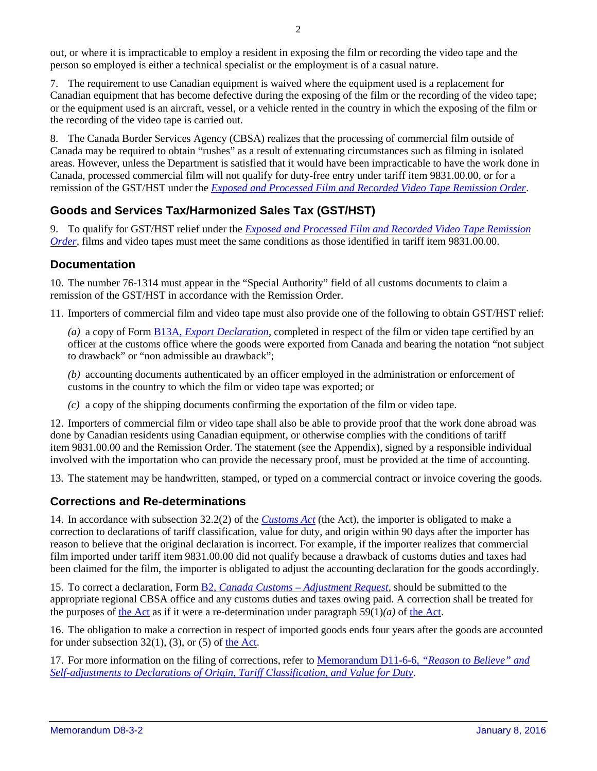out, or where it is impracticable to employ a resident in exposing the film or recording the video tape and the person so employed is either a technical specialist or the employment is of a casual nature.

7. The requirement to use Canadian equipment is waived where the equipment used is a replacement for Canadian equipment that has become defective during the exposing of the film or the recording of the video tape; or the equipment used is an aircraft, vessel, or a vehicle rented in the country in which the exposing of the film or the recording of the video tape is carried out.

8. The Canada Border Services Agency (CBSA) realizes that the processing of commercial film outside of Canada may be required to obtain "rushes" as a result of extenuating circumstances such as filming in isolated areas. However, unless the Department is satisfied that it would have been impracticable to have the work done in Canada, processed commercial film will not qualify for duty-free entry under tariff item 9831.00.00, or for a remission of the GST/HST under the *[Exposed and Processed Film and Recorded Video Tape Remission Order](http://laws-lois.justice.gc.ca/eng/regulations/C.R.C.%2C_c._763/page-1.html)*.

# **Goods and Services Tax/Harmonized Sales Tax (GST/HST)**

9. To qualify for GST/HST relief under the *[Exposed and Processed Film and Recorded Video Tape Remission](http://laws-lois.justice.gc.ca/eng/regulations/C.R.C.%2C_c._763/page-1.html)  Order*, films and video tapes must meet the same conditions as those identified in tariff item 9831.00.00.

#### **Documentation**

10. The number 76-1314 must appear in the "Special Authority" field of all customs documents to claim a remission of the GST/HST in accordance with the Remission Order.

11. Importers of commercial film and video tape must also provide one of the following to obtain GST/HST relief:

*(a)* a copy of Form B13A, *Export [Declaration](http://www.cbsa-asfc.gc.ca/publications/forms-formulaires/b13a-eng.html)*, completed in respect of the film or video tape certified by an officer at the customs office where the goods were exported from Canada and bearing the notation "not subject to drawback" or "non admissible au drawback";

*(b)* accounting documents authenticated by an officer employed in the administration or enforcement of customs in the country to which the film or video tape was exported; or

*(c)* a copy of the shipping documents confirming the exportation of the film or video tape.

12. Importers of commercial film or video tape shall also be able to provide proof that the work done abroad was done by Canadian residents using Canadian equipment, or otherwise complies with the conditions of tariff item 9831.00.00 and the Remission Order. The statement (see the Appendix), signed by a responsible individual involved with the importation who can provide the necessary proof, must be provided at the time of accounting.

13. The statement may be handwritten, stamped, or typed on a commercial contract or invoice covering the goods.

## **Corrections and Re-determinations**

14. In accordance with subsection 32.2(2) of the *[Customs](http://laws-lois.justice.gc.ca/eng/acts/C-52.6/) Act* (the Act), the importer is obligated to make a correction to declarations of tariff classification, value for duty, and origin within 90 days after the importer has reason to believe that the original declaration is incorrect. For example, if the importer realizes that commercial film imported under tariff item 9831.00.00 did not qualify because a drawback of customs duties and taxes had been claimed for the film, the importer is obligated to adjust the accounting declaration for the goods accordingly.

15. To correct a declaration, Form B2, *Canada Customs – [Adjustment](http://www.cbsa-asfc.gc.ca/publications/forms-formulaires/b2-eng.html) Request*, should be submitted to the appropriate regional CBSA office and any customs duties and taxes owing paid. A correction shall be treated for the purposes of the [Act](http://laws-lois.justice.gc.ca/eng/acts/C-52.6/) as if it were a re-determination under paragraph  $59(1)(a)$  of the [Act.](http://laws-lois.justice.gc.ca/eng/acts/C-52.6/)

16. The obligation to make a correction in respect of imported goods ends four years after the goods are accounted for under subsection  $32(1)$ ,  $(3)$ , or  $(5)$  of the [Act.](http://laws-lois.justice.gc.ca/eng/acts/C-52.6/)

17. For more information on the filing of corrections, refer to [Memorandum](http://www.cbsa-asfc.gc.ca/publications/dm-md/d11/d11-6-6-eng.html) D11-6-6, *"Reason to Believe" and [Self-adjustments](http://www.cbsa-asfc.gc.ca/publications/dm-md/d11/d11-6-6-eng.html) to Declarations of Origin, Tariff Classification, and Value for Duty*.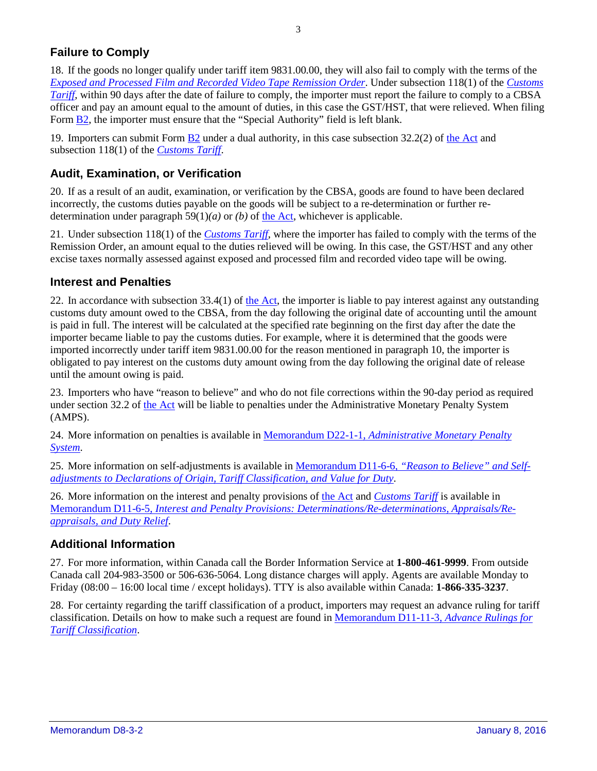# **Failure to Comply**

18. If the goods no longer qualify under tariff item 9831.00.00, they will also fail to comply with the terms of the *[Exposed and Processed Film and Recorded Video Tape Remission Order](http://laws-lois.justice.gc.ca/eng/regulations/C.R.C.%2C_c._763/page-1.html)*. Under subsection 118(1) of the *[Customs](http://www.cbsa-asfc.gc.ca/trade-commerce/tariff-tarif/menu-eng.html) [Tariff](http://www.cbsa-asfc.gc.ca/trade-commerce/tariff-tarif/menu-eng.html)*, within 90 days after the date of failure to comply, the importer must report the failure to comply to a CBSA officer and pay an amount equal to the amount of duties, in this case the GST/HST, that were relieved. When filing Form [B2,](http://www.cbsa-asfc.gc.ca/publications/forms-formulaires/b2-eng.html) the importer must ensure that the "Special Authority" field is left blank.

19. Importers can submit Form [B2](http://www.cbsa-asfc.gc.ca/publications/forms-formulaires/b2-eng.html) under a dual authority, in this case subsection 32.2(2) of the [Act](http://laws-lois.justice.gc.ca/eng/acts/C-52.6/) and subsection 118(1) of the *[Customs](http://www.cbsa-asfc.gc.ca/trade-commerce/tariff-tarif/menu-eng.html) Tariff*.

## **Audit, Examination, or Verification**

20. If as a result of an audit, examination, or verification by the CBSA, goods are found to have been declared incorrectly, the customs duties payable on the goods will be subject to a re-determination or further redetermination under paragraph 59(1)*(a)* or *(b)* of the [Act,](http://laws-lois.justice.gc.ca/eng/acts/C-52.6/) whichever is applicable.

21. Under subsection 118(1) of the *[Customs](http://www.cbsa-asfc.gc.ca/trade-commerce/tariff-tarif/menu-eng.html) Tariff*, where the importer has failed to comply with the terms of the Remission Order, an amount equal to the duties relieved will be owing. In this case, the GST/HST and any other excise taxes normally assessed against exposed and processed film and recorded video tape will be owing.

#### **Interest and Penalties**

22. In accordance with subsection  $33.4(1)$  of the [Act,](http://laws-lois.justice.gc.ca/eng/acts/C-52.6/) the importer is liable to pay interest against any outstanding customs duty amount owed to the CBSA, from the day following the original date of accounting until the amount is paid in full. The interest will be calculated at the specified rate beginning on the first day after the date the importer became liable to pay the customs duties. For example, where it is determined that the goods were imported incorrectly under tariff item 9831.00.00 for the reason mentioned in paragraph 10, the importer is obligated to pay interest on the customs duty amount owing from the day following the original date of release until the amount owing is paid.

23. Importers who have "reason to believe" and who do not file corrections within the 90-day period as required under section 32.2 of [the Act](http://laws-lois.justice.gc.ca/eng/acts/C-52.6/) will be liable to penalties under the Administrative Monetary Penalty System (AMPS).

24. More information on penalties is available in Memorandum D22-1-1, *[Administrative](http://www.cbsa-asfc.gc.ca/publications/dm-md/d22/d22-1-1-eng.html) Monetary Penalty [System](http://www.cbsa-asfc.gc.ca/publications/dm-md/d22/d22-1-1-eng.html)*.

25. More information on self-adjustments is available in [Memorandum](http://www.cbsa-asfc.gc.ca/publications/dm-md/d11/d11-6-6-eng.html) D11-6-6, *"Reason to Believe" and Selfadjustments to Declarations of Origin, Tariff [Classification,](http://www.cbsa-asfc.gc.ca/publications/dm-md/d11/d11-6-6-eng.html) and Value for Duty*.

26. More information on the interest and penalty provisions of the [Act](http://laws-lois.justice.gc.ca/eng/acts/C-52.6/) and *[Customs](http://www.cbsa-asfc.gc.ca/trade-commerce/tariff-tarif/menu-eng.html) Tariff* is available in Memorandum D11-6-5, *Interest and Penalty Provisions: [Determinations/Re-determinations,](http://www.cbsa-asfc.gc.ca/publications/dm-md/d11/d11-6-5-eng.html) Appraisals/Re[appraisals,](http://www.cbsa-asfc.gc.ca/publications/dm-md/d11/d11-6-5-eng.html) and Duty Relief*.

## **Additional Information**

27. For more information, within Canada call the Border Information Service at **1-800-461-9999**. From outside Canada call 204-983-3500 or 506-636-5064. Long distance charges will apply. Agents are available Monday to Friday (08:00 – 16:00 local time / except holidays). TTY is also available within Canada: **1-866-335-3237**.

28. For certainty regarding the tariff classification of a product, importers may request an advance ruling for tariff classification. Details on how to make such a request are found in [Memorandum D11-11-3,](http://www.cbsa.gc.ca/publications/dm-md/d11/d11-11-3-eng.html) *Advance Rulings for [Tariff Classification](http://www.cbsa.gc.ca/publications/dm-md/d11/d11-11-3-eng.html)*.